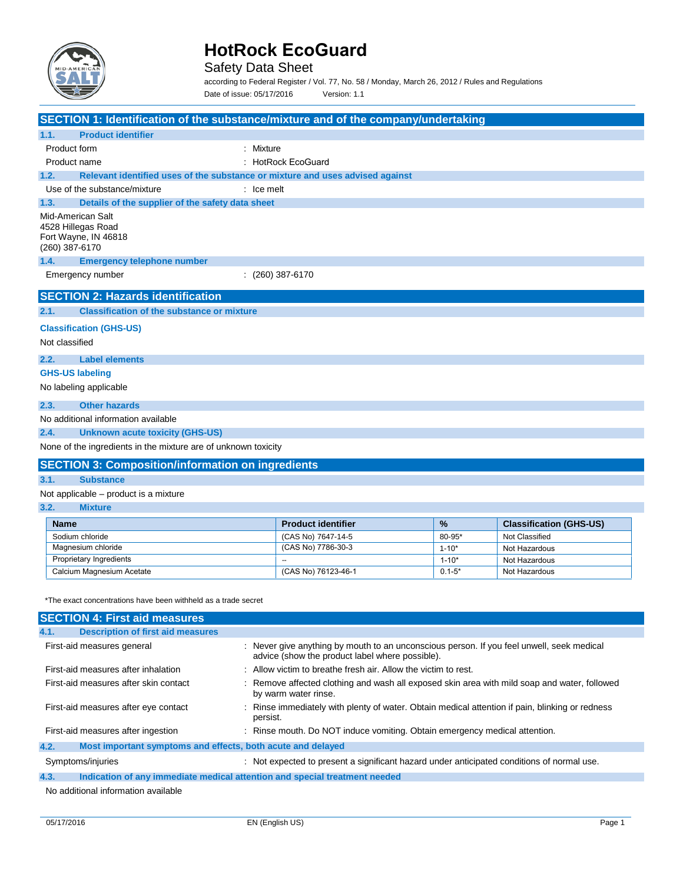

Safety Data Sheet

according to Federal Register / Vol. 77, No. 58 / Monday, March 26, 2012 / Rules and Regulations Date of issue: 05/17/2016 Version: 1.1

|                                                                                   | SECTION 1: Identification of the substance/mixture and of the company/undertaking |            |                                |  |
|-----------------------------------------------------------------------------------|-----------------------------------------------------------------------------------|------------|--------------------------------|--|
| <b>Product identifier</b><br>1.1.                                                 |                                                                                   |            |                                |  |
| Product form                                                                      | : Mixture                                                                         |            |                                |  |
| Product name                                                                      | : HotRock EcoGuard                                                                |            |                                |  |
| 1.2.                                                                              | Relevant identified uses of the substance or mixture and uses advised against     |            |                                |  |
| Use of the substance/mixture                                                      | $:$ Ice melt                                                                      |            |                                |  |
| 1.3.                                                                              | Details of the supplier of the safety data sheet                                  |            |                                |  |
| Mid-American Salt<br>4528 Hillegas Road<br>Fort Wayne, IN 46818<br>(260) 387-6170 |                                                                                   |            |                                |  |
| 1.4.<br><b>Emergency telephone number</b>                                         |                                                                                   |            |                                |  |
| Emergency number                                                                  | $(260)$ 387-6170                                                                  |            |                                |  |
| <b>SECTION 2: Hazards identification</b>                                          |                                                                                   |            |                                |  |
| 2.1.                                                                              | <b>Classification of the substance or mixture</b>                                 |            |                                |  |
| <b>Classification (GHS-US)</b>                                                    |                                                                                   |            |                                |  |
| Not classified                                                                    |                                                                                   |            |                                |  |
| <b>Label elements</b><br>2.2.                                                     |                                                                                   |            |                                |  |
| <b>GHS-US labeling</b>                                                            |                                                                                   |            |                                |  |
| No labeling applicable                                                            |                                                                                   |            |                                |  |
| <b>Other hazards</b><br>2.3.                                                      |                                                                                   |            |                                |  |
| No additional information available                                               |                                                                                   |            |                                |  |
| 2.4.<br><b>Unknown acute toxicity (GHS-US)</b>                                    |                                                                                   |            |                                |  |
| None of the ingredients in the mixture are of unknown toxicity                    |                                                                                   |            |                                |  |
|                                                                                   | <b>SECTION 3: Composition/information on ingredients</b>                          |            |                                |  |
| 3.1.<br><b>Substance</b>                                                          |                                                                                   |            |                                |  |
| Not applicable – product is a mixture                                             |                                                                                   |            |                                |  |
| 3.2.<br><b>Mixture</b>                                                            |                                                                                   |            |                                |  |
| <b>Name</b>                                                                       | <b>Product identifier</b>                                                         | %          | <b>Classification (GHS-US)</b> |  |
| Sodium chloride                                                                   | (CAS No) 7647-14-5                                                                | 80-95*     | Not Classified                 |  |
| Magnesium chloride                                                                | (CAS No) 7786-30-3                                                                | $1 - 10*$  | Not Hazardous                  |  |
| Proprietary Ingredients                                                           |                                                                                   | $1 - 10*$  | Not Hazardous                  |  |
| Calcium Magnesium Acetate                                                         | (CAS No) 76123-46-1                                                               | $0.1 - 5*$ | Not Hazardous                  |  |

\*The exact concentrations have been withheld as a trade secret

| <b>SECTION 4: First aid measures</b>                                |                                                                                                                                              |
|---------------------------------------------------------------------|----------------------------------------------------------------------------------------------------------------------------------------------|
| <b>Description of first aid measures</b><br>4.1.                    |                                                                                                                                              |
| First-aid measures general                                          | : Never give anything by mouth to an unconscious person. If you feel unwell, seek medical<br>advice (show the product label where possible). |
| First-aid measures after inhalation                                 | : Allow victim to breathe fresh air. Allow the victim to rest.                                                                               |
| First-aid measures after skin contact                               | : Remove affected clothing and wash all exposed skin area with mild soap and water, followed<br>by warm water rinse.                         |
| First-aid measures after eye contact                                | : Rinse immediately with plenty of water. Obtain medical attention if pain, blinking or redness<br>persist.                                  |
| First-aid measures after ingestion                                  | : Rinse mouth. Do NOT induce vomiting. Obtain emergency medical attention.                                                                   |
| Most important symptoms and effects, both acute and delayed<br>4.2. |                                                                                                                                              |
| Symptoms/injuries                                                   | : Not expected to present a significant hazard under anticipated conditions of normal use.                                                   |
| 4.3.                                                                | Indication of any immediate medical attention and special treatment needed                                                                   |
| No additional information available                                 |                                                                                                                                              |

No additional information available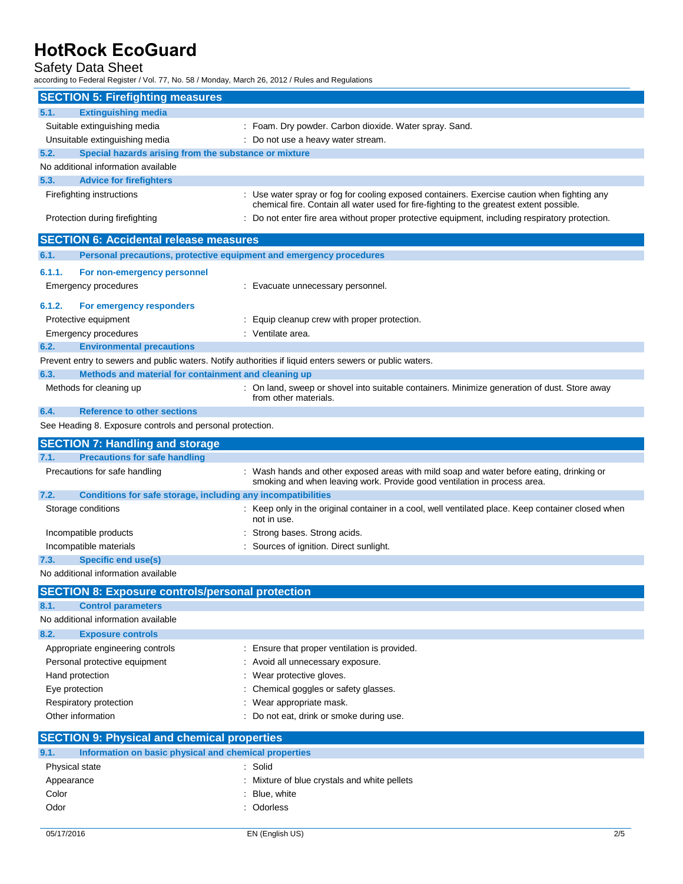## Safety Data Sheet

according to Federal Register / Vol. 77, No. 58 / Monday, March 26, 2012 / Rules and Regulations

| <b>SECTION 5: Firefighting measures</b>                                                                 |                                                                                                                                                                                         |
|---------------------------------------------------------------------------------------------------------|-----------------------------------------------------------------------------------------------------------------------------------------------------------------------------------------|
| <b>Extinguishing media</b><br>5.1.                                                                      |                                                                                                                                                                                         |
| Suitable extinguishing media                                                                            | : Foam. Dry powder. Carbon dioxide. Water spray. Sand.                                                                                                                                  |
| Unsuitable extinguishing media                                                                          | : Do not use a heavy water stream.                                                                                                                                                      |
| 5.2.<br>Special hazards arising from the substance or mixture                                           |                                                                                                                                                                                         |
| No additional information available                                                                     |                                                                                                                                                                                         |
| 5.3.<br><b>Advice for firefighters</b>                                                                  |                                                                                                                                                                                         |
| Firefighting instructions                                                                               | : Use water spray or fog for cooling exposed containers. Exercise caution when fighting any<br>chemical fire. Contain all water used for fire-fighting to the greatest extent possible. |
| Protection during firefighting                                                                          | : Do not enter fire area without proper protective equipment, including respiratory protection.                                                                                         |
| <b>SECTION 6: Accidental release measures</b>                                                           |                                                                                                                                                                                         |
| 6.1.<br>Personal precautions, protective equipment and emergency procedures                             |                                                                                                                                                                                         |
| 6.1.1.<br>For non-emergency personnel                                                                   |                                                                                                                                                                                         |
| Emergency procedures                                                                                    | : Evacuate unnecessary personnel.                                                                                                                                                       |
| 6.1.2.<br>For emergency responders                                                                      |                                                                                                                                                                                         |
| Protective equipment                                                                                    | : Equip cleanup crew with proper protection.                                                                                                                                            |
| <b>Emergency procedures</b>                                                                             | : Ventilate area.                                                                                                                                                                       |
| 6.2.<br><b>Environmental precautions</b>                                                                |                                                                                                                                                                                         |
| Prevent entry to sewers and public waters. Notify authorities if liquid enters sewers or public waters. |                                                                                                                                                                                         |
| 6.3.<br>Methods and material for containment and cleaning up                                            |                                                                                                                                                                                         |
| Methods for cleaning up                                                                                 | : On land, sweep or shovel into suitable containers. Minimize generation of dust. Store away<br>from other materials.                                                                   |
| <b>Reference to other sections</b><br>6.4.                                                              |                                                                                                                                                                                         |
| See Heading 8. Exposure controls and personal protection.                                               |                                                                                                                                                                                         |
| <b>SECTION 7: Handling and storage</b>                                                                  |                                                                                                                                                                                         |
| <b>Precautions for safe handling</b><br>7.1.                                                            |                                                                                                                                                                                         |
| Precautions for safe handling                                                                           | : Wash hands and other exposed areas with mild soap and water before eating, drinking or<br>smoking and when leaving work. Provide good ventilation in process area.                    |
| Conditions for safe storage, including any incompatibilities<br>7.2.                                    |                                                                                                                                                                                         |
| Storage conditions                                                                                      | : Keep only in the original container in a cool, well ventilated place. Keep container closed when<br>not in use.                                                                       |
| Incompatible products                                                                                   | Strong bases. Strong acids.                                                                                                                                                             |
| Incompatible materials                                                                                  | : Sources of ignition. Direct sunlight.                                                                                                                                                 |
| <b>Specific end use(s)</b><br>7.3.                                                                      |                                                                                                                                                                                         |
| No additional information available                                                                     |                                                                                                                                                                                         |
| <b>SECTION 8: Exposure controls/personal protection</b>                                                 |                                                                                                                                                                                         |
| 8.1.<br><b>Control parameters</b>                                                                       |                                                                                                                                                                                         |
| No additional information available                                                                     |                                                                                                                                                                                         |
| 8.2.<br><b>Exposure controls</b>                                                                        |                                                                                                                                                                                         |
| Appropriate engineering controls                                                                        | : Ensure that proper ventilation is provided.                                                                                                                                           |
| Personal protective equipment                                                                           | Avoid all unnecessary exposure.                                                                                                                                                         |
| Hand protection                                                                                         | Wear protective gloves.                                                                                                                                                                 |
| Eye protection                                                                                          | Chemical goggles or safety glasses.                                                                                                                                                     |
| Respiratory protection                                                                                  | Wear appropriate mask.                                                                                                                                                                  |
| Other information                                                                                       | Do not eat, drink or smoke during use.                                                                                                                                                  |
| <b>SECTION 9: Physical and chemical properties</b>                                                      |                                                                                                                                                                                         |
| 9.1.<br>Information on basic physical and chemical properties                                           |                                                                                                                                                                                         |
| Physical state                                                                                          | : Solid                                                                                                                                                                                 |
| Appearance                                                                                              | Mixture of blue crystals and white pellets                                                                                                                                              |
| Color                                                                                                   | Blue, white                                                                                                                                                                             |
| Odor                                                                                                    | : Odorless                                                                                                                                                                              |
|                                                                                                         |                                                                                                                                                                                         |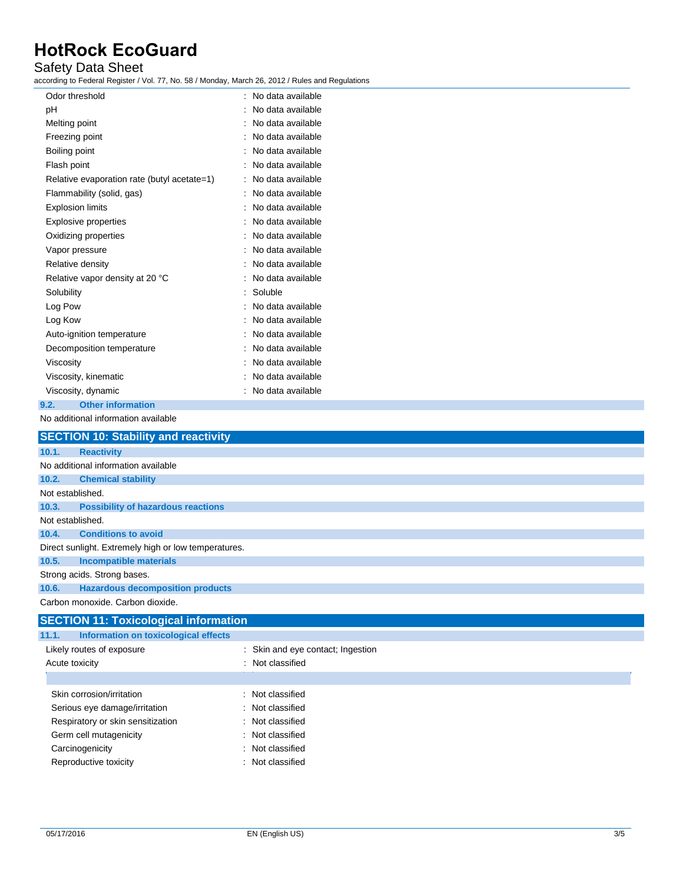## Safety Data Sheet

according to Federal Register / Vol. 77, No. 58 / Monday, March 26, 2012 / Rules and Regulations

| Odor threshold                              | No data available |
|---------------------------------------------|-------------------|
| рH                                          | No data available |
| Melting point                               | No data available |
| Freezing point                              | No data available |
| Boiling point                               | No data available |
| Flash point                                 | No data available |
| Relative evaporation rate (butyl acetate=1) | No data available |
| Flammability (solid, gas)                   | No data available |
| <b>Explosion limits</b>                     | No data available |
| <b>Explosive properties</b>                 | No data available |
| Oxidizing properties                        | No data available |
| Vapor pressure                              | No data available |
| Relative density                            | No data available |
| Relative vapor density at 20 °C             | No data available |
| Solubility                                  | Soluble           |
| Log Pow                                     | No data available |
| Log Kow                                     | No data available |
| Auto-ignition temperature                   | No data available |
| Decomposition temperature                   | No data available |
| Viscosity                                   | No data available |
| Viscosity, kinematic                        | No data available |
| Viscosity, dynamic                          | No data available |
| <b>Other information</b><br>9.2.            |                   |
| No additional information available         |                   |

## **SECTION 10: Stability and reactivity 10.1. Reactivity** No additional information available **10.2. Chemical stability** Not established. **10.3. Possibility of hazardous reactions** Not established. **10.4. Conditions to avoid** Direct sunlight. Extremely high or low temperatures. **10.5. Incompatible materials** Strong acids. Strong bases. **10.6. Hazardous decomposition products** Carbon monoxide. Carbon dioxide. **SECTION 11: Toxicological information**

| Information on toxicological effects<br>11.1. |                                   |
|-----------------------------------------------|-----------------------------------|
| Likely routes of exposure                     | : Skin and eye contact; Ingestion |
| Acute toxicity                                | : Not classified                  |
|                                               |                                   |
| Skin corrosion/irritation                     | : Not classified                  |
| Serious eye damage/irritation                 | : Not classified                  |
| Respiratory or skin sensitization             | : Not classified                  |
| Germ cell mutagenicity                        | : Not classified                  |
| Carcinogenicity                               | : Not classified                  |
| Reproductive toxicity                         | : Not classified                  |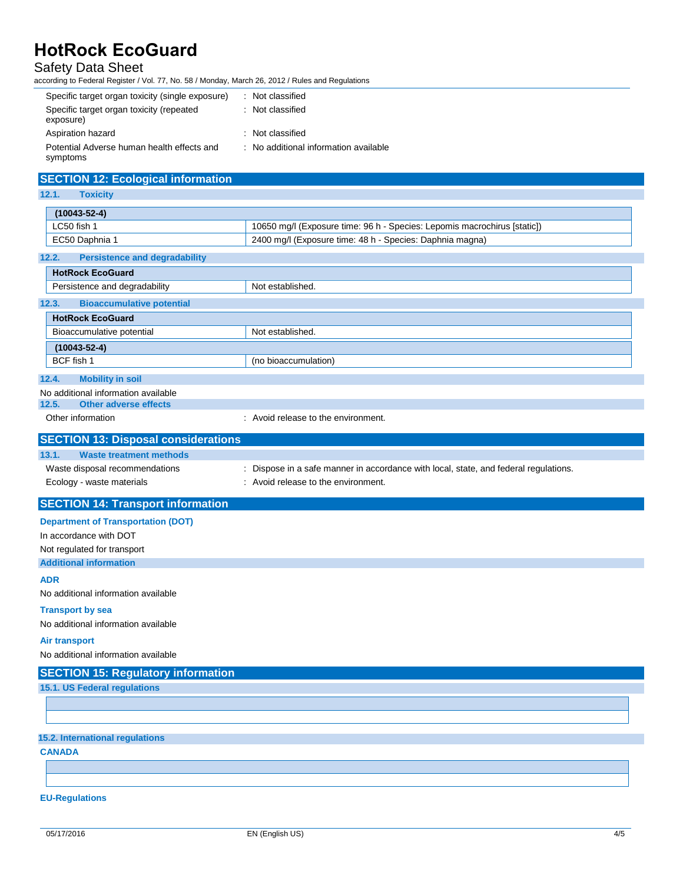## Safety Data Sheet

according to Federal Register / Vol. 77, No. 58 / Monday, March 26, 2012 / Rules and Regulations

| Specific target organ toxicity (single exposure)       | : Not classified                      |
|--------------------------------------------------------|---------------------------------------|
| Specific target organ toxicity (repeated<br>exposure)  | : Not classified                      |
| Aspiration hazard                                      | : Not classified                      |
| Potential Adverse human health effects and<br>symptoms | : No additional information available |

## **SECTION 12: Ecological information**

**12.1. Toxicity**

| $(10043 - 52 - 4)$ |                                                                          |
|--------------------|--------------------------------------------------------------------------|
| LC50 fish 1        | 10650 mg/l (Exposure time: 96 h - Species: Lepomis macrochirus [static]) |
| EC50 Daphnia 1     | 2400 mg/l (Exposure time: 48 h - Species: Daphnia magna)                 |

#### **12.2. Persistence and degradability**

| <b>HotRock EcoGuard</b>                   |                                     |
|-------------------------------------------|-------------------------------------|
| Persistence and degradability             | Not established.                    |
| <b>Bioaccumulative potential</b><br>12.3. |                                     |
| <b>HotRock EcoGuard</b>                   |                                     |
| Bioaccumulative potential                 | Not established.                    |
| $(10043 - 52 - 4)$                        |                                     |
| BCF fish 1                                | (no bioaccumulation)                |
| 12.4.<br><b>Mobility in soil</b>          |                                     |
| No additional information available       |                                     |
| Other adverse effects<br>12.5.            |                                     |
| Other information                         | : Avoid release to the environment. |

### **SECTION 13: Disposal considerations**

| 13.1. | <b>Waste treatment methods</b> |                                                                                    |
|-------|--------------------------------|------------------------------------------------------------------------------------|
|       | Waste disposal recommendations | Dispose in a safe manner in accordance with local, state, and federal regulations. |
|       | Ecology - waste materials      | : Avoid release to the environment.                                                |

### **SECTION 14: Transport information**

#### **Department of Transportation (DOT)**

In accordance with DOT

Not regulated for transport

**Additional information**

**ADR**

No additional information available

#### **Transport by sea**

No additional information available

#### **Air transport**

No additional information available

#### **SECTION 15: Regulatory information**

**15.1. US Federal regulations**

### **15.2. International regulations**

**CANADA**

#### **EU-Regulations**